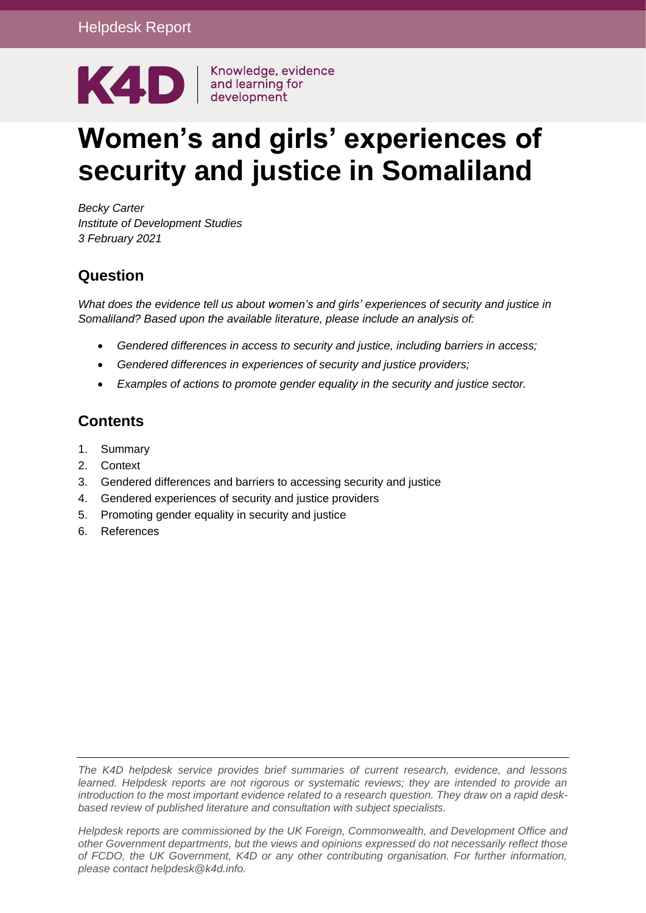

# **Women's and girls' experiences of security and justice in Somaliland**

*Becky Carter Institute of Development Studies 3 February 2021*

#### **Question**

*What does the evidence tell us about women's and girls' experiences of security and justice in Somaliland? Based upon the available literature, please include an analysis of:*

- *Gendered differences in access to security and justice, including barriers in access;*
- *Gendered differences in experiences of security and justice providers;*
- *Examples of actions to promote gender equality in the security and justice sector.*

## **Contents**

- 1. [Summary](#page-1-0)
- 2. [Context](#page-3-0)
- 3. [Gendered differences and barriers to accessing security and justice](#page-3-1)
- 4. [Gendered experiences of security and justice providers](#page-7-0)
- 5. [Promoting gender equality in security and justice](#page-9-0)
- 6. [References](#page-13-0)

*The K4D helpdesk service provides brief summaries of current research, evidence, and lessons learned. Helpdesk reports are not rigorous or systematic reviews; they are intended to provide an introduction to the most important evidence related to a research question. They draw on a rapid deskbased review of published literature and consultation with subject specialists.* 

*Helpdesk reports are commissioned by the UK Foreign, Commonwealth, and Development Office and other Government departments, but the views and opinions expressed do not necessarily reflect those of FCDO, the UK Government, K4D or any other contributing organisation. For further information, please contact helpdesk@k4d.info.*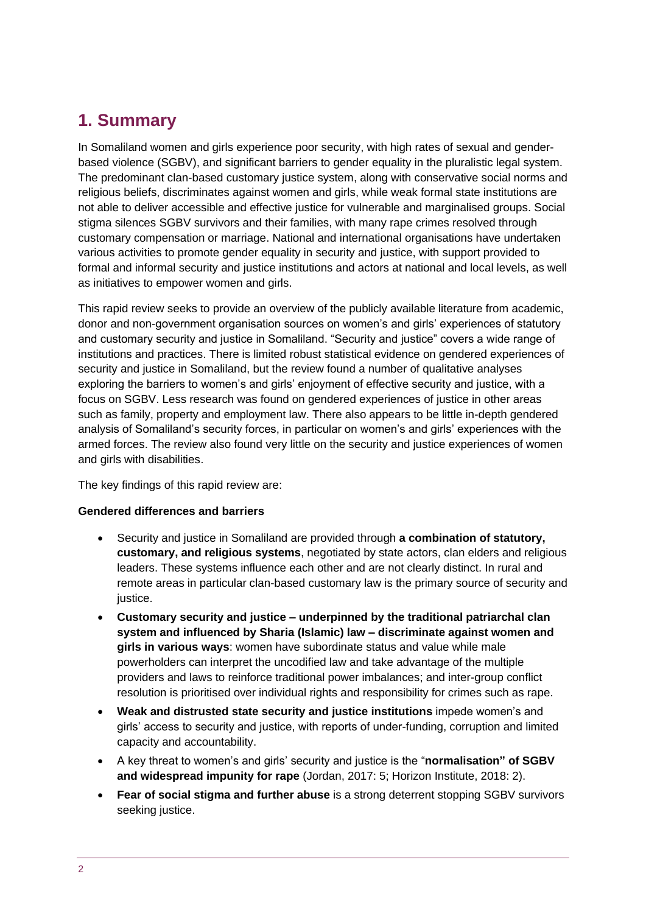# <span id="page-1-0"></span>**1. Summary**

In Somaliland women and girls experience poor security, with high rates of sexual and genderbased violence (SGBV), and significant barriers to gender equality in the pluralistic legal system. The predominant clan-based customary justice system, along with conservative social norms and religious beliefs, discriminates against women and girls, while weak formal state institutions are not able to deliver accessible and effective justice for vulnerable and marginalised groups. Social stigma silences SGBV survivors and their families, with many rape crimes resolved through customary compensation or marriage. National and international organisations have undertaken various activities to promote gender equality in security and justice, with support provided to formal and informal security and justice institutions and actors at national and local levels, as well as initiatives to empower women and girls.

This rapid review seeks to provide an overview of the publicly available literature from academic, donor and non-government organisation sources on women's and girls' experiences of statutory and customary security and justice in Somaliland. "Security and justice" covers a wide range of institutions and practices. There is limited robust statistical evidence on gendered experiences of security and justice in Somaliland, but the review found a number of qualitative analyses exploring the barriers to women's and girls' enjoyment of effective security and justice, with a focus on SGBV. Less research was found on gendered experiences of justice in other areas such as family, property and employment law. There also appears to be little in-depth gendered analysis of Somaliland's security forces, in particular on women's and girls' experiences with the armed forces. The review also found very little on the security and justice experiences of women and girls with disabilities.

The key findings of this rapid review are:

#### **Gendered differences and barriers**

- Security and justice in Somaliland are provided through **a combination of statutory, customary, and religious systems**, negotiated by state actors, clan elders and religious leaders. These systems influence each other and are not clearly distinct. In rural and remote areas in particular clan-based customary law is the primary source of security and justice.
- **Customary security and justice – underpinned by the traditional patriarchal clan system and influenced by Sharia (Islamic) law – discriminate against women and girls in various ways**: women have subordinate status and value while male powerholders can interpret the uncodified law and take advantage of the multiple providers and laws to reinforce traditional power imbalances; and inter-group conflict resolution is prioritised over individual rights and responsibility for crimes such as rape.
- **Weak and distrusted state security and justice institutions** impede women's and girls' access to security and justice, with reports of under-funding, corruption and limited capacity and accountability.
- A key threat to women's and girls' security and justice is the "**normalisation" of SGBV and widespread impunity for rape** (Jordan, 2017: 5; Horizon Institute, 2018: 2).
- **Fear of social stigma and further abuse** is a strong deterrent stopping SGBV survivors seeking justice.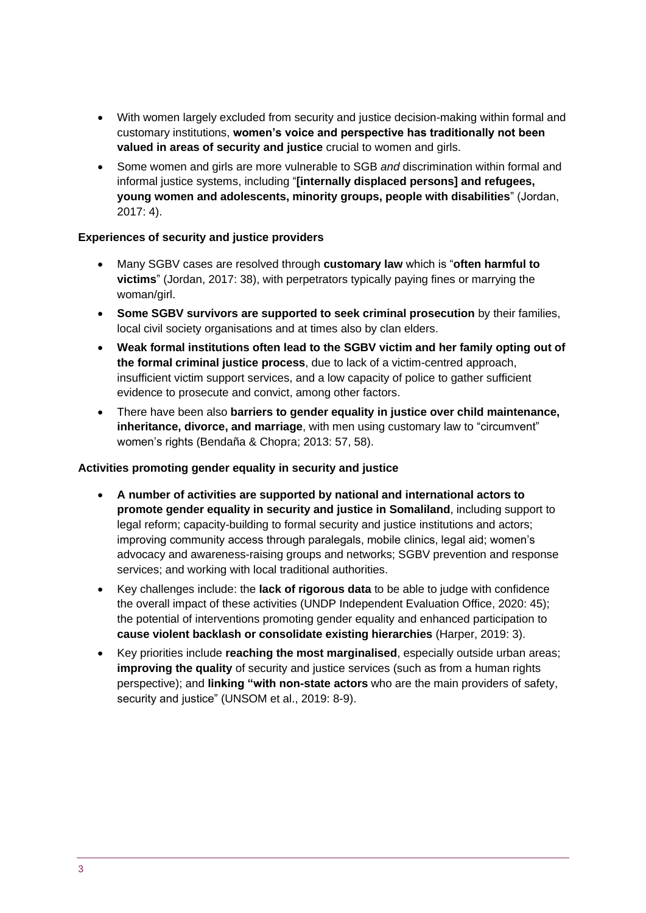- With women largely excluded from security and justice decision-making within formal and customary institutions, **women's voice and perspective has traditionally not been valued in areas of security and justice** crucial to women and girls.
- Some women and girls are more vulnerable to SGB *and* discrimination within formal and informal justice systems, including "**[internally displaced persons] and refugees, young women and adolescents, minority groups, people with disabilities**" (Jordan, 2017: 4).

#### **Experiences of security and justice providers**

- Many SGBV cases are resolved through **customary law** which is "**often harmful to victims**" (Jordan, 2017: 38), with perpetrators typically paying fines or marrying the woman/girl.
- **Some SGBV survivors are supported to seek criminal prosecution** by their families, local civil society organisations and at times also by clan elders.
- **Weak formal institutions often lead to the SGBV victim and her family opting out of the formal criminal justice process**, due to lack of a victim-centred approach, insufficient victim support services, and a low capacity of police to gather sufficient evidence to prosecute and convict, among other factors.
- There have been also **barriers to gender equality in justice over child maintenance, inheritance, divorce, and marriage**, with men using customary law to "circumvent" women's rights (Bendaña & Chopra; 2013: 57, 58).

#### **Activities promoting gender equality in security and justice**

- **A number of activities are supported by national and international actors to promote gender equality in security and justice in Somaliland**, including support to legal reform; capacity-building to formal security and justice institutions and actors; improving community access through paralegals, mobile clinics, legal aid; women's advocacy and awareness-raising groups and networks; SGBV prevention and response services; and working with local traditional authorities.
- Key challenges include: the **lack of rigorous data** to be able to judge with confidence the overall impact of these activities (UNDP Independent Evaluation Office, 2020: 45); the potential of interventions promoting gender equality and enhanced participation to **cause violent backlash or consolidate existing hierarchies** (Harper, 2019: 3).
- Key priorities include **reaching the most marginalised**, especially outside urban areas; **improving the quality** of security and justice services (such as from a human rights perspective); and **linking "with non-state actors** who are the main providers of safety, security and justice" (UNSOM et al., 2019: 8-9).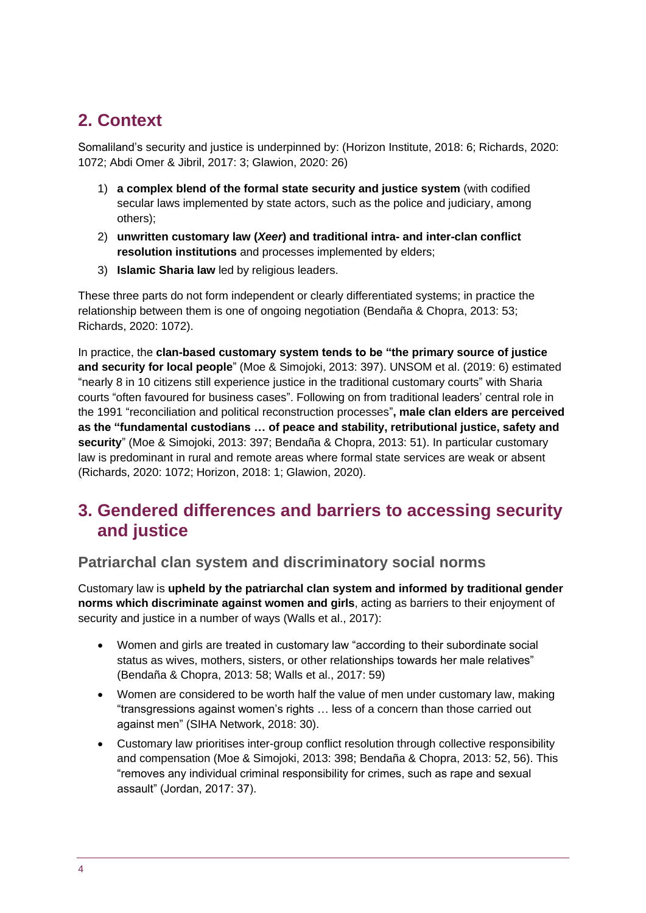# <span id="page-3-0"></span>**2. Context**

Somaliland's security and justice is underpinned by: (Horizon Institute, 2018: 6; Richards, 2020: 1072; Abdi Omer & Jibril, 2017: 3; Glawion, 2020: 26)

- 1) **a complex blend of the formal state security and justice system** (with codified secular laws implemented by state actors, such as the police and judiciary, among others);
- 2) **unwritten customary law (***Xeer***) and traditional intra- and inter-clan conflict resolution institutions** and processes implemented by elders;
- 3) **Islamic Sharia law** led by religious leaders.

These three parts do not form independent or clearly differentiated systems; in practice the relationship between them is one of ongoing negotiation (Bendaña & Chopra, 2013: 53; Richards, 2020: 1072).

In practice, the **clan-based customary system tends to be "the primary source of justice and security for local people**" (Moe & Simojoki, 2013: 397). UNSOM et al. (2019: 6) estimated "nearly 8 in 10 citizens still experience justice in the traditional customary courts" with Sharia courts "often favoured for business cases". Following on from traditional leaders' central role in the 1991 "reconciliation and political reconstruction processes"**, male clan elders are perceived as the "fundamental custodians … of peace and stability, retributional justice, safety and security**" (Moe & Simojoki, 2013: 397; Bendaña & Chopra, 2013: 51). In particular customary law is predominant in rural and remote areas where formal state services are weak or absent (Richards, 2020: 1072; Horizon, 2018: 1; Glawion, 2020).

## <span id="page-3-1"></span>**3. Gendered differences and barriers to accessing security and justice**

#### **Patriarchal clan system and discriminatory social norms**

Customary law is **upheld by the patriarchal clan system and informed by traditional gender norms which discriminate against women and girls**, acting as barriers to their enjoyment of security and justice in a number of ways (Walls et al., 2017):

- Women and girls are treated in customary law "according to their subordinate social status as wives, mothers, sisters, or other relationships towards her male relatives" (Bendaña & Chopra, 2013: 58; Walls et al., 2017: 59)
- Women are considered to be worth half the value of men under customary law, making "transgressions against women's rights … less of a concern than those carried out against men" (SIHA Network, 2018: 30).
- Customary law prioritises inter-group conflict resolution through collective responsibility and compensation (Moe & Simojoki, 2013: 398; Bendaña & Chopra, 2013: 52, 56). This "removes any individual criminal responsibility for crimes, such as rape and sexual assault" (Jordan, 2017: 37).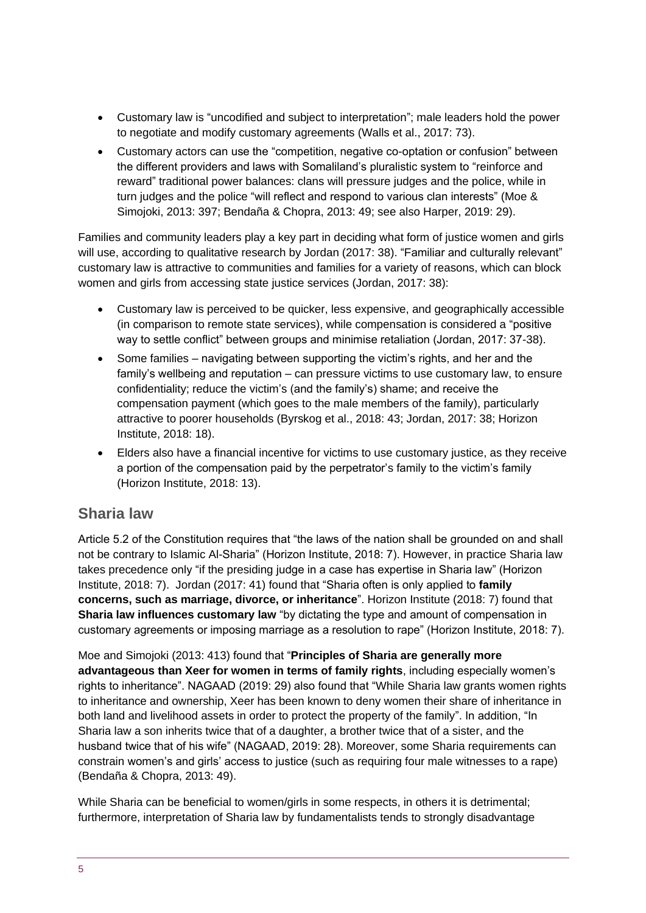- Customary law is "uncodified and subject to interpretation"; male leaders hold the power to negotiate and modify customary agreements (Walls et al., 2017: 73).
- Customary actors can use the "competition, negative co-optation or confusion" between the different providers and laws with Somaliland's pluralistic system to "reinforce and reward" traditional power balances: clans will pressure judges and the police, while in turn judges and the police "will reflect and respond to various clan interests" (Moe & Simojoki, 2013: 397; Bendaña & Chopra, 2013: 49; see also Harper, 2019: 29).

Families and community leaders play a key part in deciding what form of justice women and girls will use, according to qualitative research by Jordan (2017: 38). "Familiar and culturally relevant" customary law is attractive to communities and families for a variety of reasons, which can block women and girls from accessing state justice services (Jordan, 2017: 38):

- Customary law is perceived to be quicker, less expensive, and geographically accessible (in comparison to remote state services), while compensation is considered a "positive way to settle conflict" between groups and minimise retaliation (Jordan, 2017: 37-38).
- Some families navigating between supporting the victim's rights, and her and the family's wellbeing and reputation – can pressure victims to use customary law, to ensure confidentiality; reduce the victim's (and the family's) shame; and receive the compensation payment (which goes to the male members of the family), particularly attractive to poorer households (Byrskog et al., 2018: 43; Jordan, 2017: 38; Horizon Institute, 2018: 18).
- Elders also have a financial incentive for victims to use customary justice, as they receive a portion of the compensation paid by the perpetrator's family to the victim's family (Horizon Institute, 2018: 13).

#### **Sharia law**

Article 5.2 of the Constitution requires that "the laws of the nation shall be grounded on and shall not be contrary to Islamic Al-Sharia" (Horizon Institute, 2018: 7). However, in practice Sharia law takes precedence only "if the presiding judge in a case has expertise in Sharia law" (Horizon Institute, 2018: 7). Jordan (2017: 41) found that "Sharia often is only applied to **family concerns, such as marriage, divorce, or inheritance**". Horizon Institute (2018: 7) found that **Sharia law influences customary law** "by dictating the type and amount of compensation in customary agreements or imposing marriage as a resolution to rape" (Horizon Institute, 2018: 7).

Moe and Simojoki (2013: 413) found that "**Principles of Sharia are generally more advantageous than Xeer for women in terms of family rights**, including especially women's rights to inheritance". NAGAAD (2019: 29) also found that "While Sharia law grants women rights to inheritance and ownership, Xeer has been known to deny women their share of inheritance in both land and livelihood assets in order to protect the property of the family". In addition, "In Sharia law a son inherits twice that of a daughter, a brother twice that of a sister, and the husband twice that of his wife" (NAGAAD, 2019: 28). Moreover, some Sharia requirements can constrain women's and girls' access to justice (such as requiring four male witnesses to a rape) (Bendaña & Chopra, 2013: 49).

While Sharia can be beneficial to women/girls in some respects, in others it is detrimental; furthermore, interpretation of Sharia law by fundamentalists tends to strongly disadvantage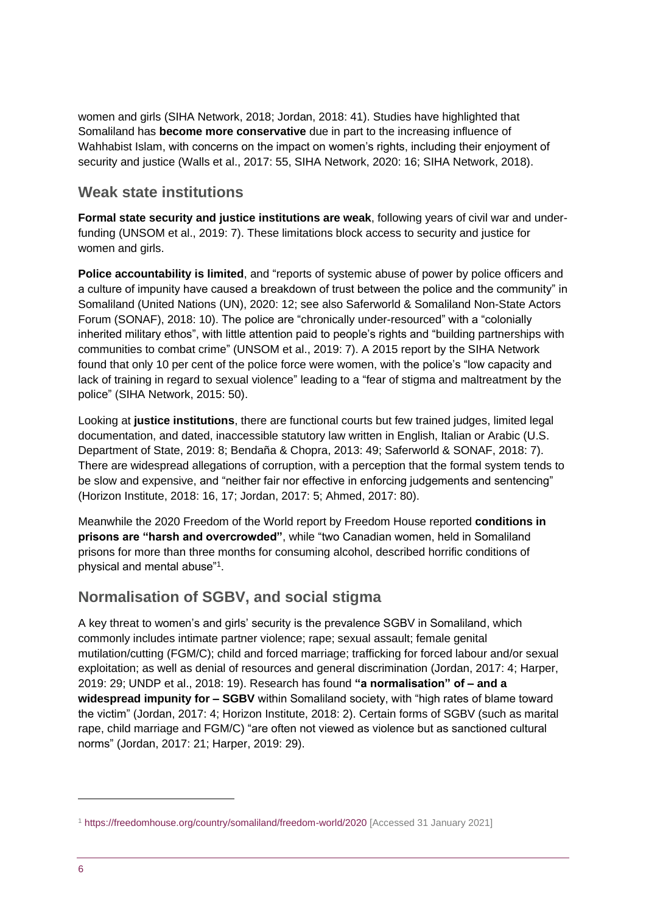women and girls (SIHA Network, 2018; Jordan, 2018: 41). Studies have highlighted that Somaliland has **become more conservative** due in part to the increasing influence of Wahhabist Islam, with concerns on the impact on women's rights, including their enjoyment of security and justice (Walls et al., 2017: 55, SIHA Network, 2020: 16; SIHA Network, 2018).

#### **Weak state institutions**

**Formal state security and justice institutions are weak**, following years of civil war and underfunding (UNSOM et al., 2019: 7). These limitations block access to security and justice for women and girls.

**Police accountability is limited**, and "reports of systemic abuse of power by police officers and a culture of impunity have caused a breakdown of trust between the police and the community" in Somaliland (United Nations (UN), 2020: 12; see also Saferworld & Somaliland Non-State Actors Forum (SONAF), 2018: 10). The police are "chronically under-resourced" with a "colonially inherited military ethos", with little attention paid to people's rights and "building partnerships with communities to combat crime" (UNSOM et al., 2019: 7). A 2015 report by the SIHA Network found that only 10 per cent of the police force were women, with the police's "low capacity and lack of training in regard to sexual violence" leading to a "fear of stigma and maltreatment by the police" (SIHA Network, 2015: 50).

Looking at **justice institutions**, there are functional courts but few trained judges, limited legal documentation, and dated, inaccessible statutory law written in English, Italian or Arabic (U.S. Department of State, 2019: 8; Bendaña & Chopra, 2013: 49; Saferworld & SONAF, 2018: 7). There are widespread allegations of corruption, with a perception that the formal system tends to be slow and expensive, and "neither fair nor effective in enforcing judgements and sentencing" (Horizon Institute, 2018: 16, 17; Jordan, 2017: 5; Ahmed, 2017: 80).

Meanwhile the 2020 Freedom of the World report by Freedom House reported **conditions in prisons are "harsh and overcrowded"**, while "two Canadian women, held in Somaliland prisons for more than three months for consuming alcohol, described horrific conditions of physical and mental abuse"<sup>1</sup> .

#### **Normalisation of SGBV, and social stigma**

A key threat to women's and girls' security is the prevalence SGBV in Somaliland, which commonly includes intimate partner violence; rape; sexual assault; female genital mutilation/cutting (FGM/C); child and forced marriage; trafficking for forced labour and/or sexual exploitation; as well as denial of resources and general discrimination (Jordan, 2017: 4; Harper, 2019: 29; UNDP et al., 2018: 19). Research has found **"a normalisation" of – and a widespread impunity for – SGBV** within Somaliland society, with "high rates of blame toward the victim" (Jordan, 2017: 4; Horizon Institute, 2018: 2). Certain forms of SGBV (such as marital rape, child marriage and FGM/C) "are often not viewed as violence but as sanctioned cultural norms" (Jordan, 2017: 21; Harper, 2019: 29).

<sup>1</sup> <https://freedomhouse.org/country/somaliland/freedom-world/2020> [Accessed 31 January 2021]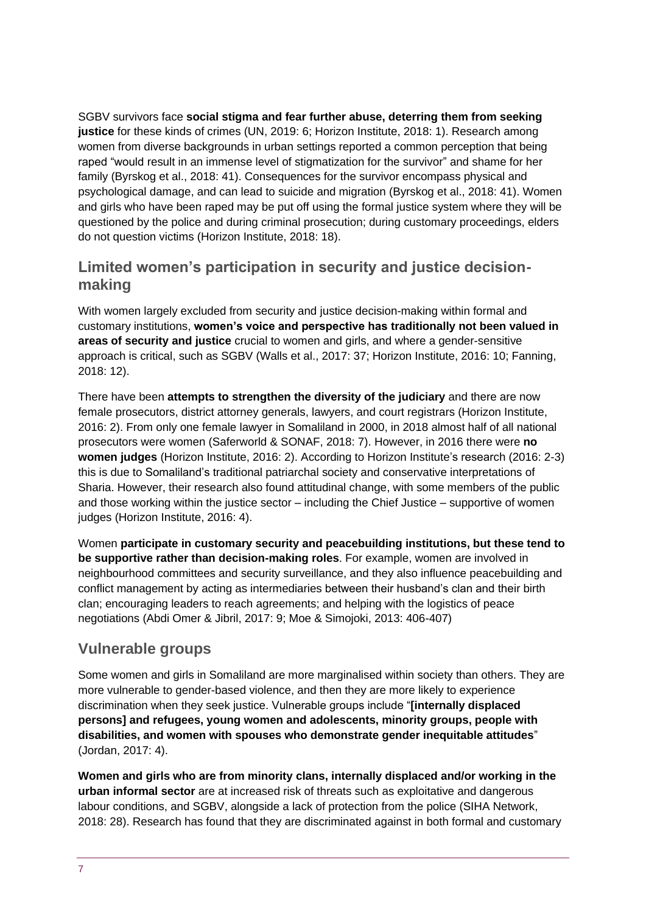SGBV survivors face **social stigma and fear further abuse, deterring them from seeking justice** for these kinds of crimes (UN, 2019: 6; Horizon Institute, 2018: 1). Research among women from diverse backgrounds in urban settings reported a common perception that being raped "would result in an immense level of stigmatization for the survivor" and shame for her family (Byrskog et al., 2018: 41). Consequences for the survivor encompass physical and psychological damage, and can lead to suicide and migration (Byrskog et al., 2018: 41). Women and girls who have been raped may be put off using the formal justice system where they will be questioned by the police and during criminal prosecution; during customary proceedings, elders do not question victims (Horizon Institute, 2018: 18).

#### **Limited women's participation in security and justice decisionmaking**

With women largely excluded from security and justice decision-making within formal and customary institutions, **women's voice and perspective has traditionally not been valued in areas of security and justice** crucial to women and girls, and where a gender-sensitive approach is critical, such as SGBV (Walls et al., 2017: 37; Horizon Institute, 2016: 10; Fanning, 2018: 12).

There have been **attempts to strengthen the diversity of the judiciary** and there are now female prosecutors, district attorney generals, lawyers, and court registrars (Horizon Institute, 2016: 2). From only one female lawyer in Somaliland in 2000, in 2018 almost half of all national prosecutors were women (Saferworld & SONAF, 2018: 7). However, in 2016 there were **no women judges** (Horizon Institute, 2016: 2). According to Horizon Institute's research (2016: 2-3) this is due to Somaliland's traditional patriarchal society and conservative interpretations of Sharia. However, their research also found attitudinal change, with some members of the public and those working within the justice sector – including the Chief Justice – supportive of women judges (Horizon Institute, 2016: 4).

Women **participate in customary security and peacebuilding institutions, but these tend to be supportive rather than decision-making roles**. For example, women are involved in neighbourhood committees and security surveillance, and they also influence peacebuilding and conflict management by acting as intermediaries between their husband's clan and their birth clan; encouraging leaders to reach agreements; and helping with the logistics of peace negotiations (Abdi Omer & Jibril, 2017: 9; Moe & Simojoki, 2013: 406-407)

#### **Vulnerable groups**

Some women and girls in Somaliland are more marginalised within society than others. They are more vulnerable to gender-based violence, and then they are more likely to experience discrimination when they seek justice. Vulnerable groups include "**[internally displaced persons] and refugees, young women and adolescents, minority groups, people with disabilities, and women with spouses who demonstrate gender inequitable attitudes**" (Jordan, 2017: 4).

**Women and girls who are from minority clans, internally displaced and/or working in the urban informal sector** are at increased risk of threats such as exploitative and dangerous labour conditions, and SGBV, alongside a lack of protection from the police (SIHA Network, 2018: 28). Research has found that they are discriminated against in both formal and customary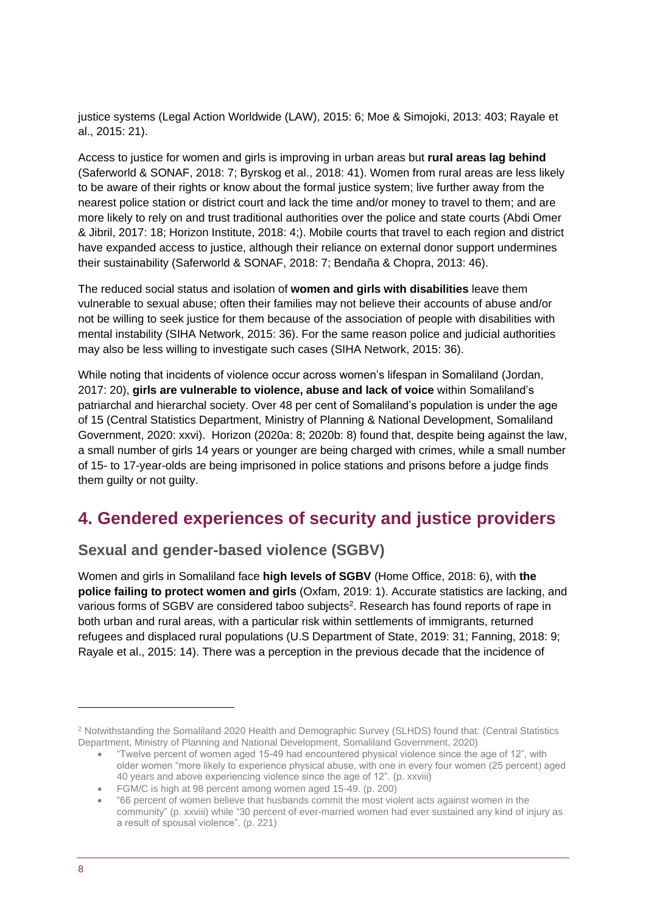justice systems (Legal Action Worldwide (LAW), 2015: 6; Moe & Simojoki, 2013: 403; Rayale et al., 2015: 21).

Access to justice for women and girls is improving in urban areas but **rural areas lag behind** (Saferworld & SONAF, 2018: 7; Byrskog et al., 2018: 41). Women from rural areas are less likely to be aware of their rights or know about the formal justice system; live further away from the nearest police station or district court and lack the time and/or money to travel to them; and are more likely to rely on and trust traditional authorities over the police and state courts (Abdi Omer & Jibril, 2017: 18; Horizon Institute, 2018: 4;). Mobile courts that travel to each region and district have expanded access to justice, although their reliance on external donor support undermines their sustainability (Saferworld & SONAF, 2018: 7; Bendaña & Chopra, 2013: 46).

The reduced social status and isolation of **women and girls with disabilities** leave them vulnerable to sexual abuse; often their families may not believe their accounts of abuse and/or not be willing to seek justice for them because of the association of people with disabilities with mental instability (SIHA Network, 2015: 36). For the same reason police and judicial authorities may also be less willing to investigate such cases (SIHA Network, 2015: 36).

While noting that incidents of violence occur across women's lifespan in Somaliland (Jordan, 2017: 20), **girls are vulnerable to violence, abuse and lack of voice** within Somaliland's patriarchal and hierarchal society. Over 48 per cent of Somaliland's population is under the age of 15 (Central Statistics Department, Ministry of Planning & National Development, Somaliland Government, 2020: xxvi). Horizon (2020a: 8; 2020b: 8) found that, despite being against the law, a small number of girls 14 years or younger are being charged with crimes, while a small number of 15- to 17-year-olds are being imprisoned in police stations and prisons before a judge finds them guilty or not guilty.

# <span id="page-7-0"></span>**4. Gendered experiences of security and justice providers**

#### **Sexual and gender-based violence (SGBV)**

Women and girls in Somaliland face **high levels of SGBV** (Home Office, 2018: 6), with **the police failing to protect women and girls** (Oxfam, 2019: 1). Accurate statistics are lacking, and various forms of SGBV are considered taboo subjects<sup>2</sup>. Research has found reports of rape in both urban and rural areas, with a particular risk within settlements of immigrants, returned refugees and displaced rural populations (U.S Department of State, 2019: 31; Fanning, 2018: 9; Rayale et al., 2015: 14). There was a perception in the previous decade that the incidence of

<sup>2</sup> Notwithstanding the Somaliland 2020 Health and Demographic Survey (SLHDS) found that: (Central Statistics Department, Ministry of Planning and National Development, Somaliland Government, 2020)

<sup>•</sup> "Twelve percent of women aged 15-49 had encountered physical violence since the age of 12", with older women "more likely to experience physical abuse, with one in every four women (25 percent) aged 40 years and above experiencing violence since the age of 12". (p. xxviii)

<sup>•</sup> FGM/C is high at 98 percent among women aged 15-49. (p. 200)

<sup>•</sup> "66 percent of women believe that husbands commit the most violent acts against women in the community" (p. xxviii) while "30 percent of ever-married women had ever sustained any kind of injury as a result of spousal violence". (p. 221)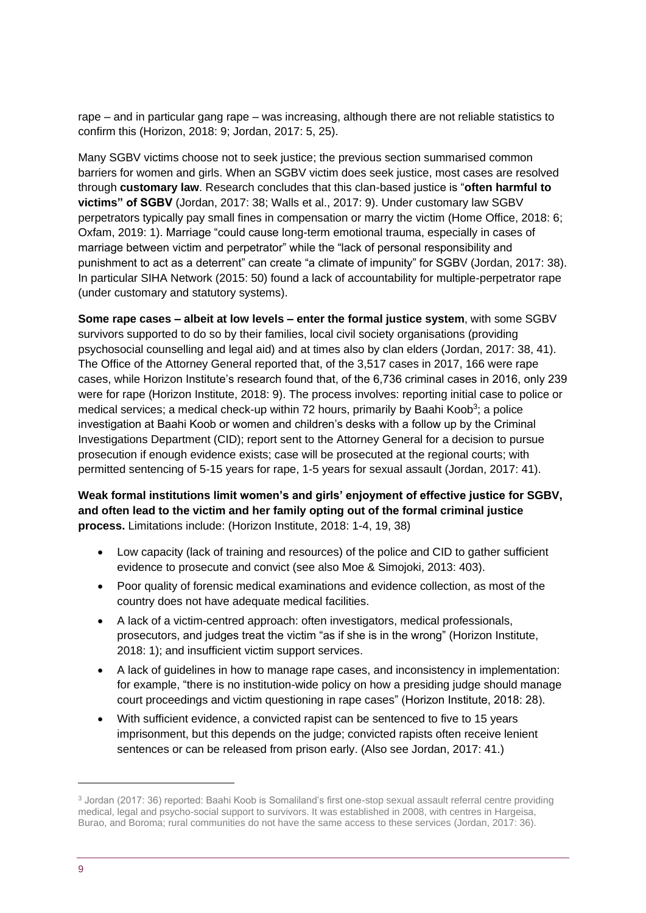rape – and in particular gang rape – was increasing, although there are not reliable statistics to confirm this (Horizon, 2018: 9; Jordan, 2017: 5, 25).

Many SGBV victims choose not to seek justice; the previous section summarised common barriers for women and girls. When an SGBV victim does seek justice, most cases are resolved through **customary law**. Research concludes that this clan-based justice is "**often harmful to victims" of SGBV** (Jordan, 2017: 38; Walls et al., 2017: 9). Under customary law SGBV perpetrators typically pay small fines in compensation or marry the victim (Home Office, 2018: 6; Oxfam, 2019: 1). Marriage "could cause long-term emotional trauma, especially in cases of marriage between victim and perpetrator" while the "lack of personal responsibility and punishment to act as a deterrent" can create "a climate of impunity" for SGBV (Jordan, 2017: 38). In particular SIHA Network (2015: 50) found a lack of accountability for multiple-perpetrator rape (under customary and statutory systems).

**Some rape cases – albeit at low levels – enter the formal justice system**, with some SGBV survivors supported to do so by their families, local civil society organisations (providing psychosocial counselling and legal aid) and at times also by clan elders (Jordan, 2017: 38, 41). The Office of the Attorney General reported that, of the 3,517 cases in 2017, 166 were rape cases, while Horizon Institute's research found that, of the 6,736 criminal cases in 2016, only 239 were for rape (Horizon Institute, 2018: 9). The process involves: reporting initial case to police or medical services; a medical check-up within 72 hours, primarily by Baahi Koob<sup>3</sup>; a police investigation at Baahi Koob or women and children's desks with a follow up by the Criminal Investigations Department (CID); report sent to the Attorney General for a decision to pursue prosecution if enough evidence exists; case will be prosecuted at the regional courts; with permitted sentencing of 5-15 years for rape, 1-5 years for sexual assault (Jordan, 2017: 41).

**Weak formal institutions limit women's and girls' enjoyment of effective justice for SGBV, and often lead to the victim and her family opting out of the formal criminal justice process.** Limitations include: (Horizon Institute, 2018: 1-4, 19, 38)

- Low capacity (lack of training and resources) of the police and CID to gather sufficient evidence to prosecute and convict (see also Moe & Simojoki, 2013: 403).
- Poor quality of forensic medical examinations and evidence collection, as most of the country does not have adequate medical facilities.
- A lack of a victim-centred approach: often investigators, medical professionals, prosecutors, and judges treat the victim "as if she is in the wrong" (Horizon Institute, 2018: 1); and insufficient victim support services.
- A lack of guidelines in how to manage rape cases, and inconsistency in implementation: for example, "there is no institution-wide policy on how a presiding judge should manage court proceedings and victim questioning in rape cases" (Horizon Institute, 2018: 28).
- With sufficient evidence, a convicted rapist can be sentenced to five to 15 years imprisonment, but this depends on the judge; convicted rapists often receive lenient sentences or can be released from prison early. (Also see Jordan, 2017: 41.)

<sup>3</sup> Jordan (2017: 36) reported: Baahi Koob is Somaliland's first one-stop sexual assault referral centre providing medical, legal and psycho-social support to survivors. It was established in 2008, with centres in Hargeisa, Burao, and Boroma; rural communities do not have the same access to these services (Jordan, 2017: 36).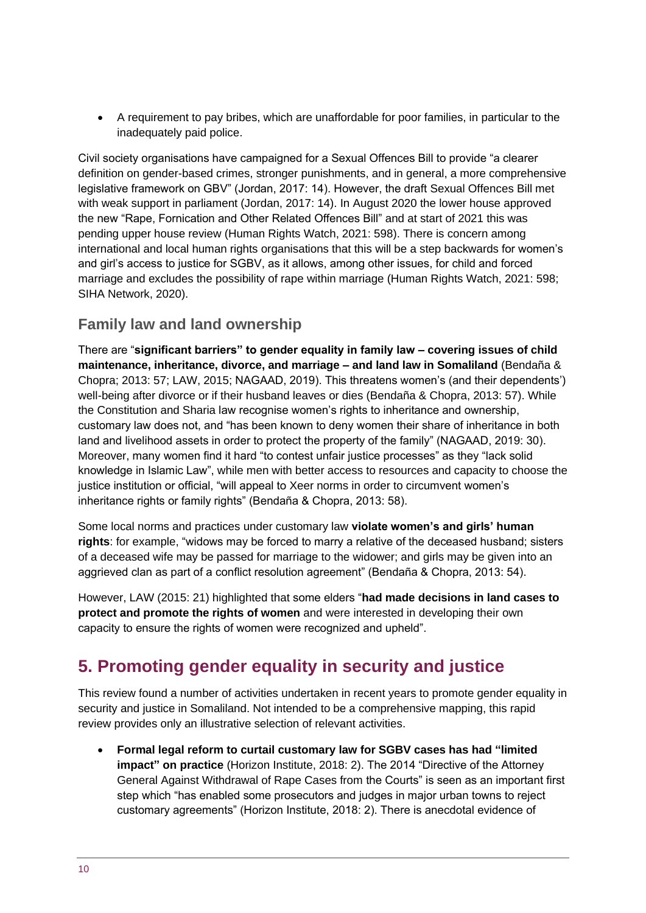• A requirement to pay bribes, which are unaffordable for poor families, in particular to the inadequately paid police.

Civil society organisations have campaigned for a Sexual Offences Bill to provide "a clearer definition on gender-based crimes, stronger punishments, and in general, a more comprehensive legislative framework on GBV" (Jordan, 2017: 14). However, the draft Sexual Offences Bill met with weak support in parliament (Jordan, 2017: 14). In August 2020 the lower house approved the new "Rape, Fornication and Other Related Offences Bill" and at start of 2021 this was pending upper house review (Human Rights Watch, 2021: 598). There is concern among international and local human rights organisations that this will be a step backwards for women's and girl's access to justice for SGBV, as it allows, among other issues, for child and forced marriage and excludes the possibility of rape within marriage (Human Rights Watch, 2021: 598; SIHA Network, 2020).

#### **Family law and land ownership**

There are "**significant barriers" to gender equality in family law – covering issues of child maintenance, inheritance, divorce, and marriage – and land law in Somaliland** (Bendaña & Chopra; 2013: 57; LAW, 2015; NAGAAD, 2019). This threatens women's (and their dependents') well-being after divorce or if their husband leaves or dies (Bendaña & Chopra, 2013: 57). While the Constitution and Sharia law recognise women's rights to inheritance and ownership, customary law does not, and "has been known to deny women their share of inheritance in both land and livelihood assets in order to protect the property of the family" (NAGAAD, 2019: 30). Moreover, many women find it hard "to contest unfair justice processes" as they "lack solid knowledge in Islamic Law", while men with better access to resources and capacity to choose the justice institution or official, "will appeal to Xeer norms in order to circumvent women's inheritance rights or family rights" (Bendaña & Chopra, 2013: 58).

Some local norms and practices under customary law **violate women's and girls' human rights**: for example, "widows may be forced to marry a relative of the deceased husband; sisters of a deceased wife may be passed for marriage to the widower; and girls may be given into an aggrieved clan as part of a conflict resolution agreement" (Bendaña & Chopra, 2013: 54).

However, LAW (2015: 21) highlighted that some elders "**had made decisions in land cases to protect and promote the rights of women** and were interested in developing their own capacity to ensure the rights of women were recognized and upheld".

# <span id="page-9-0"></span>**5. Promoting gender equality in security and justice**

This review found a number of activities undertaken in recent years to promote gender equality in security and justice in Somaliland. Not intended to be a comprehensive mapping, this rapid review provides only an illustrative selection of relevant activities.

• **Formal legal reform to curtail customary law for SGBV cases has had "limited impact" on practice** (Horizon Institute, 2018: 2). The 2014 "Directive of the Attorney General Against Withdrawal of Rape Cases from the Courts" is seen as an important first step which "has enabled some prosecutors and judges in major urban towns to reject customary agreements" (Horizon Institute, 2018: 2). There is anecdotal evidence of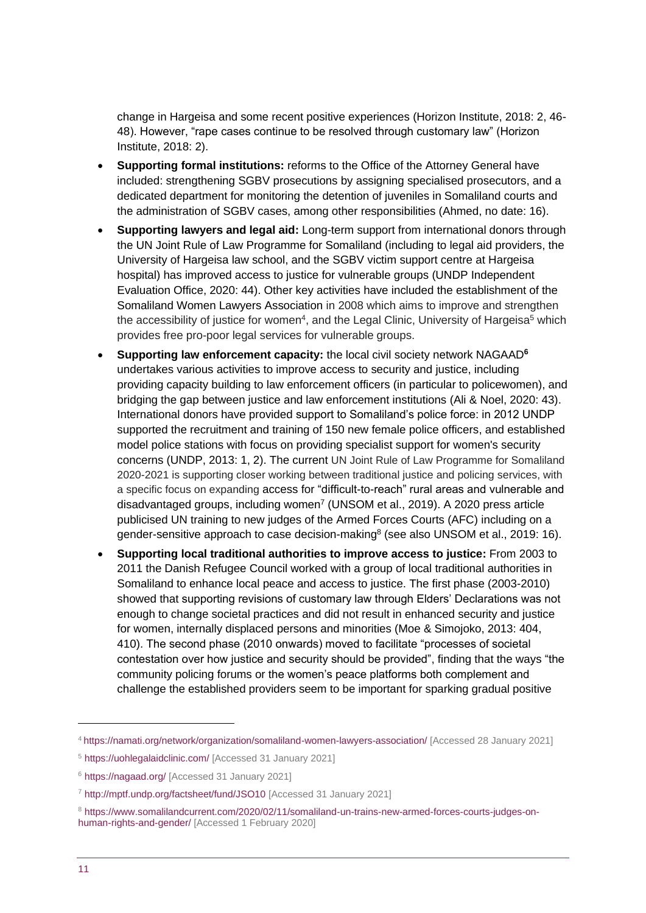change in Hargeisa and some recent positive experiences (Horizon Institute, 2018: 2, 46- 48). However, "rape cases continue to be resolved through customary law" (Horizon Institute, 2018: 2).

- **Supporting formal institutions:** reforms to the Office of the Attorney General have included: strengthening SGBV prosecutions by assigning specialised prosecutors, and a dedicated department for monitoring the detention of juveniles in Somaliland courts and the administration of SGBV cases, among other responsibilities (Ahmed, no date: 16).
- **Supporting lawyers and legal aid:** Long-term support from international donors through the UN Joint Rule of Law Programme for Somaliland (including to legal aid providers, the University of Hargeisa law school, and the SGBV victim support centre at Hargeisa hospital) has improved access to justice for vulnerable groups (UNDP Independent Evaluation Office, 2020: 44). Other key activities have included the establishment of the Somaliland Women Lawyers Association in 2008 which aims to improve and strengthen the accessibility of justice for women<sup>4</sup>, and the Legal Clinic, University of Hargeisa<sup>5</sup> which provides free pro-poor legal services for vulnerable groups.
- **Supporting law enforcement capacity:** the local civil society network NAGAAD**<sup>6</sup>** undertakes various activities to improve access to security and justice, including providing capacity building to law enforcement officers (in particular to policewomen), and bridging the gap between justice and law enforcement institutions (Ali & Noel, 2020: 43). International donors have provided support to Somaliland's police force: in 2012 UNDP supported the recruitment and training of 150 new female police officers, and established model police stations with focus on providing specialist support for women's security concerns (UNDP, 2013: 1, 2). The current UN Joint Rule of Law Programme for Somaliland 2020-2021 is supporting closer working between traditional justice and policing services, with a specific focus on expanding access for "difficult-to-reach" rural areas and vulnerable and disadvantaged groups, including women<sup>7</sup> (UNSOM et al., 2019). A 2020 press article publicised UN training to new judges of the Armed Forces Courts (AFC) including on a gender-sensitive approach to case decision-making<sup>8</sup> (see also UNSOM et al., 2019: 16).
- **Supporting local traditional authorities to improve access to justice:** From 2003 to 2011 the Danish Refugee Council worked with a group of local traditional authorities in Somaliland to enhance local peace and access to justice. The first phase (2003-2010) showed that supporting revisions of customary law through Elders' Declarations was not enough to change societal practices and did not result in enhanced security and justice for women, internally displaced persons and minorities (Moe & Simojoko, 2013: 404, 410). The second phase (2010 onwards) moved to facilitate "processes of societal contestation over how justice and security should be provided", finding that the ways "the community policing forums or the women's peace platforms both complement and challenge the established providers seem to be important for sparking gradual positive

<sup>4</sup> <https://namati.org/network/organization/somaliland-women-lawyers-association/> [Accessed 28 January 2021]

<sup>5</sup> <https://uohlegalaidclinic.com/> [Accessed 31 January 2021]

<sup>6</sup> <https://nagaad.org/> [Accessed 31 January 2021]

<sup>7</sup> <http://mptf.undp.org/factsheet/fund/JSO10> [Accessed 31 January 2021]

<sup>8</sup> [https://www.somalilandcurrent.com/2020/02/11/somaliland-un-trains-new-armed-forces-courts-judges-on](https://www.somalilandcurrent.com/2020/02/11/somaliland-un-trains-new-armed-forces-courts-judges-on-human-rights-and-gender/)[human-rights-and-gender/](https://www.somalilandcurrent.com/2020/02/11/somaliland-un-trains-new-armed-forces-courts-judges-on-human-rights-and-gender/) [Accessed 1 February 2020]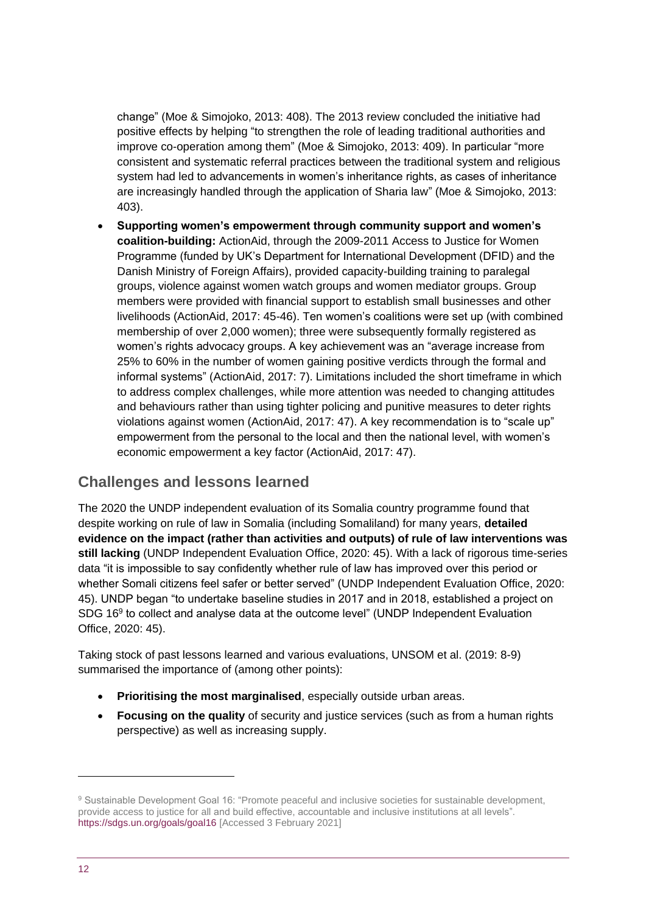change" (Moe & Simojoko, 2013: 408). The 2013 review concluded the initiative had positive effects by helping "to strengthen the role of leading traditional authorities and improve co-operation among them" (Moe & Simojoko, 2013: 409). In particular "more consistent and systematic referral practices between the traditional system and religious system had led to advancements in women's inheritance rights, as cases of inheritance are increasingly handled through the application of Sharia law" (Moe & Simojoko, 2013: 403).

• **Supporting women's empowerment through community support and women's coalition-building:** ActionAid, through the 2009-2011 Access to Justice for Women Programme (funded by UK's Department for International Development (DFID) and the Danish Ministry of Foreign Affairs), provided capacity-building training to paralegal groups, violence against women watch groups and women mediator groups. Group members were provided with financial support to establish small businesses and other livelihoods (ActionAid, 2017: 45-46). Ten women's coalitions were set up (with combined membership of over 2,000 women); three were subsequently formally registered as women's rights advocacy groups. A key achievement was an "average increase from 25% to 60% in the number of women gaining positive verdicts through the formal and informal systems" (ActionAid, 2017: 7). Limitations included the short timeframe in which to address complex challenges, while more attention was needed to changing attitudes and behaviours rather than using tighter policing and punitive measures to deter rights violations against women (ActionAid, 2017: 47). A key recommendation is to "scale up" empowerment from the personal to the local and then the national level, with women's economic empowerment a key factor (ActionAid, 2017: 47).

#### **Challenges and lessons learned**

The 2020 the UNDP independent evaluation of its Somalia country programme found that despite working on rule of law in Somalia (including Somaliland) for many years, **detailed evidence on the impact (rather than activities and outputs) of rule of law interventions was still lacking** (UNDP Independent Evaluation Office, 2020: 45). With a lack of rigorous time-series data "it is impossible to say confidently whether rule of law has improved over this period or whether Somali citizens feel safer or better served" (UNDP Independent Evaluation Office, 2020: 45). UNDP began "to undertake baseline studies in 2017 and in 2018, established a project on SDG 16<sup>9</sup> to collect and analyse data at the outcome level" (UNDP Independent Evaluation Office, 2020: 45).

Taking stock of past lessons learned and various evaluations, UNSOM et al. (2019: 8-9) summarised the importance of (among other points):

- **Prioritising the most marginalised**, especially outside urban areas.
- **Focusing on the quality** of security and justice services (such as from a human rights perspective) as well as increasing supply.

<sup>&</sup>lt;sup>9</sup> Sustainable Development Goal 16: "Promote peaceful and inclusive societies for sustainable development, provide access to justice for all and build effective, accountable and inclusive institutions at all levels". <https://sdgs.un.org/goals/goal16> [Accessed 3 February 2021]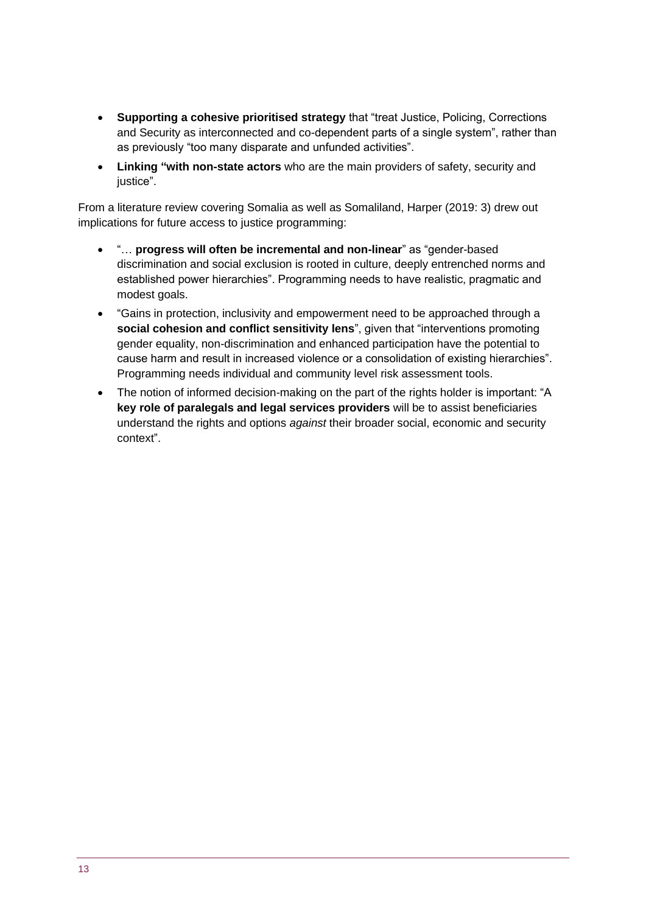- **Supporting a cohesive prioritised strategy** that "treat Justice, Policing, Corrections and Security as interconnected and co-dependent parts of a single system", rather than as previously "too many disparate and unfunded activities".
- **Linking "with non-state actors** who are the main providers of safety, security and iustice".

From a literature review covering Somalia as well as Somaliland, Harper (2019: 3) drew out implications for future access to justice programming:

- "… **progress will often be incremental and non-linear**" as "gender-based discrimination and social exclusion is rooted in culture, deeply entrenched norms and established power hierarchies". Programming needs to have realistic, pragmatic and modest goals.
- "Gains in protection, inclusivity and empowerment need to be approached through a **social cohesion and conflict sensitivity lens**", given that "interventions promoting gender equality, non-discrimination and enhanced participation have the potential to cause harm and result in increased violence or a consolidation of existing hierarchies". Programming needs individual and community level risk assessment tools.
- The notion of informed decision-making on the part of the rights holder is important: "A **key role of paralegals and legal services providers** will be to assist beneficiaries understand the rights and options *against* their broader social, economic and security context".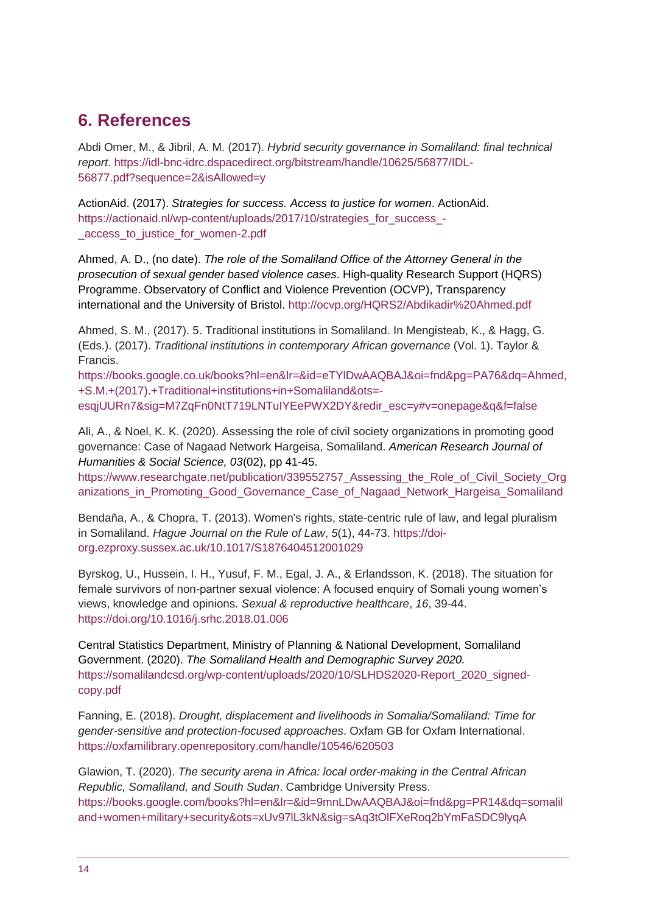# <span id="page-13-0"></span>**6. References**

Abdi Omer, M., & Jibril, A. M. (2017). *Hybrid security governance in Somaliland: final technical report*. [https://idl-bnc-idrc.dspacedirect.org/bitstream/handle/10625/56877/IDL-](https://idl-bnc-idrc.dspacedirect.org/bitstream/handle/10625/56877/IDL-56877.pdf?sequence=2&isAllowed=y)[56877.pdf?sequence=2&isAllowed=y](https://idl-bnc-idrc.dspacedirect.org/bitstream/handle/10625/56877/IDL-56877.pdf?sequence=2&isAllowed=y)

ActionAid. (2017). *Strategies for success. Access to justice for women*. ActionAid. [https://actionaid.nl/wp-content/uploads/2017/10/strategies\\_for\\_success\\_-](https://actionaid.nl/wp-content/uploads/2017/10/strategies_for_success_-_access_to_justice_for_women-2.pdf) [\\_access\\_to\\_justice\\_for\\_women-2.pdf](https://actionaid.nl/wp-content/uploads/2017/10/strategies_for_success_-_access_to_justice_for_women-2.pdf)

Ahmed, A. D., (no date). *The role of the Somaliland Office of the Attorney General in the prosecution of sexual gender based violence cases*. High-quality Research Support (HQRS) Programme. Observatory of Conflict and Violence Prevention (OCVP), Transparency international and the University of Bristol.<http://ocvp.org/HQRS2/Abdikadir%20Ahmed.pdf>

Ahmed, S. M., (2017). 5. Traditional institutions in Somaliland. In Mengisteab, K., & Hagg, G. (Eds.). (2017). *Traditional institutions in contemporary African governance* (Vol. 1). Taylor & Francis.

[https://books.google.co.uk/books?hl=en&lr=&id=eTYlDwAAQBAJ&oi=fnd&pg=PA76&dq=Ahmed,](https://books.google.co.uk/books?hl=en&lr=&id=eTYlDwAAQBAJ&oi=fnd&pg=PA76&dq=Ahmed,+S.M.+(2017).+Traditional+institutions+in+Somaliland&ots=-esqjUURn7&sig=M7ZqFn0NtT719LNTuIYEePWX2DY&redir_esc=y#v=onepage&q&f=false) [+S.M.+\(2017\).+Traditional+institutions+in+Somaliland&ots=](https://books.google.co.uk/books?hl=en&lr=&id=eTYlDwAAQBAJ&oi=fnd&pg=PA76&dq=Ahmed,+S.M.+(2017).+Traditional+institutions+in+Somaliland&ots=-esqjUURn7&sig=M7ZqFn0NtT719LNTuIYEePWX2DY&redir_esc=y#v=onepage&q&f=false) [esqjUURn7&sig=M7ZqFn0NtT719LNTuIYEePWX2DY&redir\\_esc=y#v=onepage&q&f=false](https://books.google.co.uk/books?hl=en&lr=&id=eTYlDwAAQBAJ&oi=fnd&pg=PA76&dq=Ahmed,+S.M.+(2017).+Traditional+institutions+in+Somaliland&ots=-esqjUURn7&sig=M7ZqFn0NtT719LNTuIYEePWX2DY&redir_esc=y#v=onepage&q&f=false)

Ali, A., & Noel, K. K. (2020). Assessing the role of civil society organizations in promoting good governance: Case of Nagaad Network Hargeisa, Somaliland. *American Research Journal of Humanities & Social Science, 03*(02), pp 41-45.

[https://www.researchgate.net/publication/339552757\\_Assessing\\_the\\_Role\\_of\\_Civil\\_Society\\_Org](https://www.researchgate.net/publication/339552757_Assessing_the_Role_of_Civil_Society_Organizations_in_Promoting_Good_Governance_Case_of_Nagaad_Network_Hargeisa_Somaliland) [anizations\\_in\\_Promoting\\_Good\\_Governance\\_Case\\_of\\_Nagaad\\_Network\\_Hargeisa\\_Somaliland](https://www.researchgate.net/publication/339552757_Assessing_the_Role_of_Civil_Society_Organizations_in_Promoting_Good_Governance_Case_of_Nagaad_Network_Hargeisa_Somaliland)

Bendaña, A., & Chopra, T. (2013). Women's rights, state-centric rule of law, and legal pluralism in Somaliland. *Hague Journal on the Rule of Law*, *5*(1), 44-73. [https://doi](https://doi-org.ezproxy.sussex.ac.uk/10.1017/S1876404512001029)[org.ezproxy.sussex.ac.uk/10.1017/S1876404512001029](https://doi-org.ezproxy.sussex.ac.uk/10.1017/S1876404512001029)

Byrskog, U., Hussein, I. H., Yusuf, F. M., Egal, J. A., & Erlandsson, K. (2018). The situation for female survivors of non-partner sexual violence: A focused enquiry of Somali young women's views, knowledge and opinions. *Sexual & reproductive healthcare*, *16*, 39-44. <https://doi.org/10.1016/j.srhc.2018.01.006>

Central Statistics Department, Ministry of Planning & National Development, Somaliland Government. (2020). *The Somaliland Health and Demographic Survey 2020.* [https://somalilandcsd.org/wp-content/uploads/2020/10/SLHDS2020-Report\\_2020\\_signed](https://somalilandcsd.org/wp-content/uploads/2020/10/SLHDS2020-Report_2020_signed-copy.pdf)[copy.pdf](https://somalilandcsd.org/wp-content/uploads/2020/10/SLHDS2020-Report_2020_signed-copy.pdf)

Fanning, E. (2018). *Drought, displacement and livelihoods in Somalia/Somaliland: Time for gender-sensitive and protection-focused approaches*. Oxfam GB for Oxfam International. <https://oxfamilibrary.openrepository.com/handle/10546/620503>

Glawion, T. (2020). *The security arena in Africa: local order-making in the Central African Republic, Somaliland, and South Sudan*. Cambridge University Press. [https://books.google.com/books?hl=en&lr=&id=9mnLDwAAQBAJ&oi=fnd&pg=PR14&dq=somalil](https://books.google.com/books?hl=en&lr=&id=9mnLDwAAQBAJ&oi=fnd&pg=PR14&dq=somaliland+women+military+security&ots=xUv97lL3kN&sig=sAq3tOlFXeRoq2bYmFaSDC9lyqA) [and+women+military+security&ots=xUv97lL3kN&sig=sAq3tOlFXeRoq2bYmFaSDC9lyqA](https://books.google.com/books?hl=en&lr=&id=9mnLDwAAQBAJ&oi=fnd&pg=PR14&dq=somaliland+women+military+security&ots=xUv97lL3kN&sig=sAq3tOlFXeRoq2bYmFaSDC9lyqA)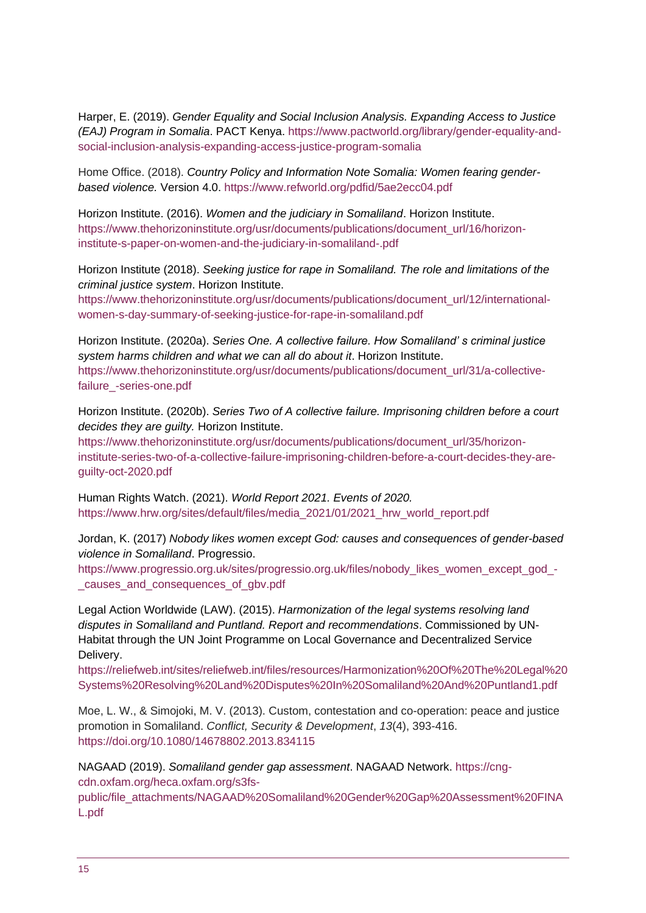Harper, E. (2019). *Gender Equality and Social Inclusion Analysis. Expanding Access to Justice (EAJ) Program in Somalia*. PACT Kenya. [https://www.pactworld.org/library/gender-equality-and](https://www.pactworld.org/library/gender-equality-and-social-inclusion-analysis-expanding-access-justice-program-somalia)[social-inclusion-analysis-expanding-access-justice-program-somalia](https://www.pactworld.org/library/gender-equality-and-social-inclusion-analysis-expanding-access-justice-program-somalia)

Home Office. (2018). *Country Policy and Information Note Somalia: Women fearing genderbased violence.* Version 4.0.<https://www.refworld.org/pdfid/5ae2ecc04.pdf>

Horizon Institute. (2016). *Women and the judiciary in Somaliland*. Horizon Institute. [https://www.thehorizoninstitute.org/usr/documents/publications/document\\_url/16/horizon](https://www.thehorizoninstitute.org/usr/documents/publications/document_url/16/horizon-institute-s-paper-on-women-and-the-judiciary-in-somaliland-.pdf)[institute-s-paper-on-women-and-the-judiciary-in-somaliland-.pdf](https://www.thehorizoninstitute.org/usr/documents/publications/document_url/16/horizon-institute-s-paper-on-women-and-the-judiciary-in-somaliland-.pdf)

Horizon Institute (2018). *Seeking justice for rape in Somaliland. The role and limitations of the criminal justice system*. Horizon Institute.

[https://www.thehorizoninstitute.org/usr/documents/publications/document\\_url/12/international](https://www.thehorizoninstitute.org/usr/documents/publications/document_url/12/international-women-s-day-summary-of-seeking-justice-for-rape-in-somaliland.pdf)[women-s-day-summary-of-seeking-justice-for-rape-in-somaliland.pdf](https://www.thehorizoninstitute.org/usr/documents/publications/document_url/12/international-women-s-day-summary-of-seeking-justice-for-rape-in-somaliland.pdf)

Horizon Institute. (2020a). *Series One. A collective failure. How Somaliland' s criminal justice system harms children and what we can all do about it*. Horizon Institute. [https://www.thehorizoninstitute.org/usr/documents/publications/document\\_url/31/a-collective](https://www.thehorizoninstitute.org/usr/documents/publications/document_url/31/a-collective-failure_-series-one.pdf)[failure\\_-series-one.pdf](https://www.thehorizoninstitute.org/usr/documents/publications/document_url/31/a-collective-failure_-series-one.pdf)

Horizon Institute. (2020b). *Series Two of A collective failure. Imprisoning children before a court decides they are guilty.* Horizon Institute.

[https://www.thehorizoninstitute.org/usr/documents/publications/document\\_url/35/horizon](https://www.thehorizoninstitute.org/usr/documents/publications/document_url/35/horizon-institute-series-two-of-a-collective-failure-imprisoning-children-before-a-court-decides-they-are-guilty-oct-2020.pdf)[institute-series-two-of-a-collective-failure-imprisoning-children-before-a-court-decides-they-are](https://www.thehorizoninstitute.org/usr/documents/publications/document_url/35/horizon-institute-series-two-of-a-collective-failure-imprisoning-children-before-a-court-decides-they-are-guilty-oct-2020.pdf)[guilty-oct-2020.pdf](https://www.thehorizoninstitute.org/usr/documents/publications/document_url/35/horizon-institute-series-two-of-a-collective-failure-imprisoning-children-before-a-court-decides-they-are-guilty-oct-2020.pdf)

Human Rights Watch. (2021). *World Report 2021. Events of 2020.* [https://www.hrw.org/sites/default/files/media\\_2021/01/2021\\_hrw\\_world\\_report.pdf](https://www.hrw.org/sites/default/files/media_2021/01/2021_hrw_world_report.pdf)

Jordan, K. (2017) *Nobody likes women except God: causes and consequences of gender-based violence in Somaliland*. Progressio.

[https://www.progressio.org.uk/sites/progressio.org.uk/files/nobody\\_likes\\_women\\_except\\_god\\_-](https://www.progressio.org.uk/sites/progressio.org.uk/files/nobody_likes_women_except_god_-_causes_and_consequences_of_gbv.pdf) [\\_causes\\_and\\_consequences\\_of\\_gbv.pdf](https://www.progressio.org.uk/sites/progressio.org.uk/files/nobody_likes_women_except_god_-_causes_and_consequences_of_gbv.pdf)

Legal Action Worldwide (LAW). (2015). *Harmonization of the legal systems resolving land disputes in Somaliland and Puntland. Report and recommendations*. Commissioned by UN-Habitat through the UN Joint Programme on Local Governance and Decentralized Service Delivery.

[https://reliefweb.int/sites/reliefweb.int/files/resources/Harmonization%20Of%20The%20Legal%20](https://reliefweb.int/sites/reliefweb.int/files/resources/Harmonization%20Of%20The%20Legal%20Systems%20Resolving%20Land%20Disputes%20In%20Somaliland%20And%20Puntland1.pdf) [Systems%20Resolving%20Land%20Disputes%20In%20Somaliland%20And%20Puntland1.pdf](https://reliefweb.int/sites/reliefweb.int/files/resources/Harmonization%20Of%20The%20Legal%20Systems%20Resolving%20Land%20Disputes%20In%20Somaliland%20And%20Puntland1.pdf)

Moe, L. W., & Simojoki, M. V. (2013). Custom, contestation and co-operation: peace and justice promotion in Somaliland. *Conflict, Security & Development*, *13*(4), 393-416. <https://doi.org/10.1080/14678802.2013.834115>

NAGAAD (2019). *Somaliland gender gap assessment*. NAGAAD Network. [https://cng](https://cng-cdn.oxfam.org/heca.oxfam.org/s3fs-public/file_attachments/NAGAAD%20Somaliland%20Gender%20Gap%20Assessment%20FINAL.pdf)[cdn.oxfam.org/heca.oxfam.org/s3fs-](https://cng-cdn.oxfam.org/heca.oxfam.org/s3fs-public/file_attachments/NAGAAD%20Somaliland%20Gender%20Gap%20Assessment%20FINAL.pdf)

[public/file\\_attachments/NAGAAD%20Somaliland%20Gender%20Gap%20Assessment%20FINA](https://cng-cdn.oxfam.org/heca.oxfam.org/s3fs-public/file_attachments/NAGAAD%20Somaliland%20Gender%20Gap%20Assessment%20FINAL.pdf) [L.pdf](https://cng-cdn.oxfam.org/heca.oxfam.org/s3fs-public/file_attachments/NAGAAD%20Somaliland%20Gender%20Gap%20Assessment%20FINAL.pdf)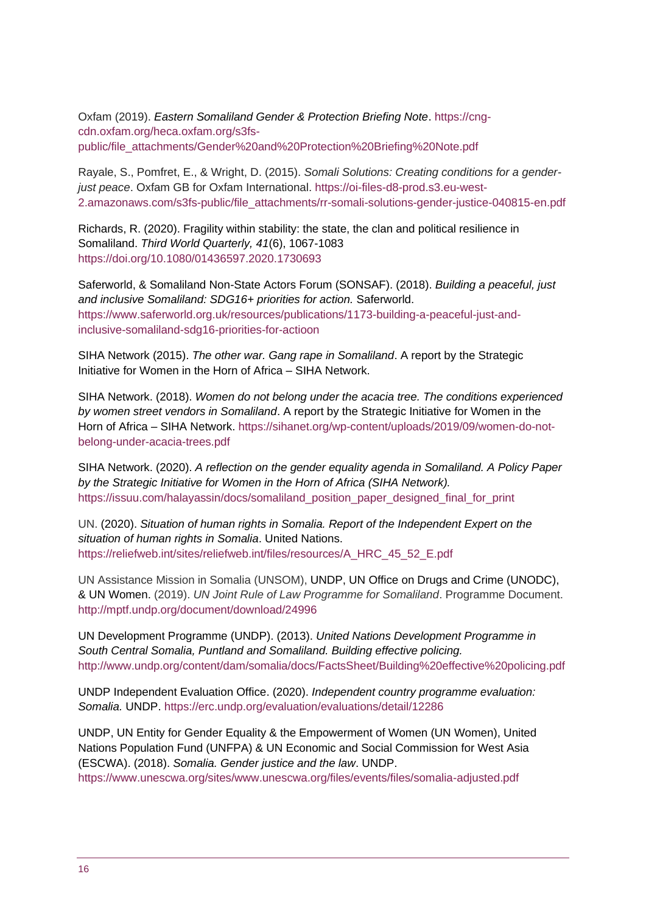Oxfam (2019). *Eastern Somaliland Gender & Protection Briefing Note*. [https://cng](https://cng-cdn.oxfam.org/heca.oxfam.org/s3fs-public/file_attachments/Gender%20and%20Protection%20Briefing%20Note.pdf)[cdn.oxfam.org/heca.oxfam.org/s3fs](https://cng-cdn.oxfam.org/heca.oxfam.org/s3fs-public/file_attachments/Gender%20and%20Protection%20Briefing%20Note.pdf)[public/file\\_attachments/Gender%20and%20Protection%20Briefing%20Note.pdf](https://cng-cdn.oxfam.org/heca.oxfam.org/s3fs-public/file_attachments/Gender%20and%20Protection%20Briefing%20Note.pdf)

Rayale, S., Pomfret, E., & Wright, D. (2015). *Somali Solutions: Creating conditions for a genderjust peace*. Oxfam GB for Oxfam International. [https://oi-files-d8-prod.s3.eu-west-](https://oi-files-d8-prod.s3.eu-west-2.amazonaws.com/s3fs-public/file_attachments/rr-somali-solutions-gender-justice-040815-en.pdf)[2.amazonaws.com/s3fs-public/file\\_attachments/rr-somali-solutions-gender-justice-040815-en.pdf](https://oi-files-d8-prod.s3.eu-west-2.amazonaws.com/s3fs-public/file_attachments/rr-somali-solutions-gender-justice-040815-en.pdf)

Richards, R. (2020). Fragility within stability: the state, the clan and political resilience in Somaliland. *Third World Quarterly, 41*(6), 1067-1083 <https://doi.org/10.1080/01436597.2020.1730693>

Saferworld, & Somaliland Non-State Actors Forum (SONSAF). (2018). *Building a peaceful, just and inclusive Somaliland: SDG16+ priorities for action.* Saferworld. [https://www.saferworld.org.uk/resources/publications/1173-building-a-peaceful-just-and](https://www.saferworld.org.uk/resources/publications/1173-building-a-peaceful-just-and-inclusive-somaliland-sdg16-priorities-for-actioon)[inclusive-somaliland-sdg16-priorities-for-actioon](https://www.saferworld.org.uk/resources/publications/1173-building-a-peaceful-just-and-inclusive-somaliland-sdg16-priorities-for-actioon)

SIHA Network (2015). *The other war. Gang rape in Somaliland*. A report by the Strategic Initiative for Women in the Horn of Africa – SIHA Network.

SIHA Network. (2018). *Women do not belong under the acacia tree. The conditions experienced by women street vendors in Somaliland*. A report by the Strategic Initiative for Women in the Horn of Africa – SIHA Network. [https://sihanet.org/wp-content/uploads/2019/09/women-do-not](https://sihanet.org/wp-content/uploads/2019/09/women-do-not-belong-under-acacia-trees.pdf)[belong-under-acacia-trees.pdf](https://sihanet.org/wp-content/uploads/2019/09/women-do-not-belong-under-acacia-trees.pdf)

SIHA Network. (2020). *A reflection on the gender equality agenda in Somaliland. A Policy Paper by the Strategic Initiative for Women in the Horn of Africa (SIHA Network).* [https://issuu.com/halayassin/docs/somaliland\\_position\\_paper\\_designed\\_final\\_for\\_print](https://issuu.com/halayassin/docs/somaliland_position_paper_designed_final_for_print)

UN. (2020). *Situation of human rights in Somalia. Report of the Independent Expert on the situation of human rights in Somalia*. United Nations. [https://reliefweb.int/sites/reliefweb.int/files/resources/A\\_HRC\\_45\\_52\\_E.pdf](https://reliefweb.int/sites/reliefweb.int/files/resources/A_HRC_45_52_E.pdf) 

UN Assistance Mission in Somalia (UNSOM), UNDP, UN Office on Drugs and Crime (UNODC), & UN Women. (2019). *UN Joint Rule of Law Programme for Somaliland*. Programme Document. <http://mptf.undp.org/document/download/24996>

UN Development Programme (UNDP). (2013). *United Nations Development Programme in South Central Somalia, Puntland and Somaliland. Building effective policing.*  <http://www.undp.org/content/dam/somalia/docs/FactsSheet/Building%20effective%20policing.pdf>

UNDP Independent Evaluation Office. (2020). *Independent country programme evaluation: Somalia.* UNDP.<https://erc.undp.org/evaluation/evaluations/detail/12286>

UNDP, UN Entity for Gender Equality & the Empowerment of Women (UN Women), United Nations Population Fund (UNFPA) & UN Economic and Social Commission for West Asia (ESCWA). (2018). *Somalia. Gender justice and the law*. UNDP.

<https://www.unescwa.org/sites/www.unescwa.org/files/events/files/somalia-adjusted.pdf>